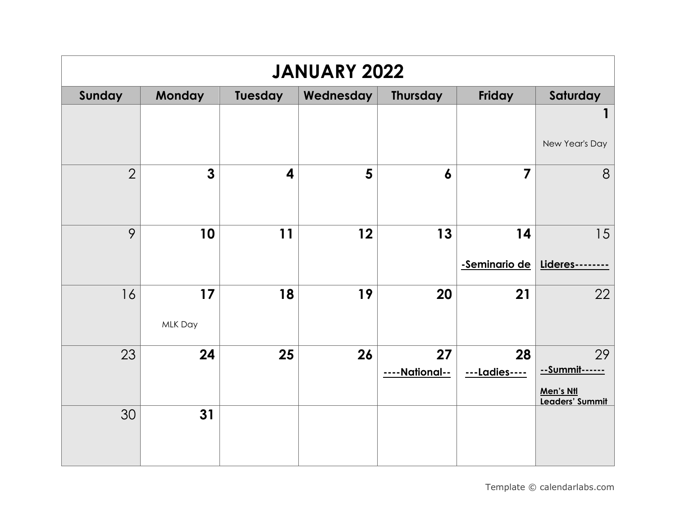| <b>JANUARY 2022</b> |               |                |           |                     |                         |                                                      |  |  |
|---------------------|---------------|----------------|-----------|---------------------|-------------------------|------------------------------------------------------|--|--|
| Sunday              | Monday        | <b>Tuesday</b> | Wednesday | <b>Thursday</b>     | Friday                  | Saturday                                             |  |  |
|                     |               |                |           |                     |                         | 1<br>New Year's Day                                  |  |  |
| $\overline{2}$      | $\mathbf{3}$  | 4              | 5         | $\boldsymbol{6}$    | $\overline{\mathbf{z}}$ | 8                                                    |  |  |
| 9                   | 10            | 11             | 12        | 13                  | 14<br>-Seminario de     | 15<br>Lideres--                                      |  |  |
| 16                  | 17<br>MLK Day | 18             | 19        | 20                  | 21                      | 22                                                   |  |  |
| 23                  | 24            | 25             | 26        | 27<br>---National-- | 28<br>---Ladies----     | 29<br>--Summit------<br>Men's Ntl<br>Leaders' Summit |  |  |
| 30                  | 31            |                |           |                     |                         |                                                      |  |  |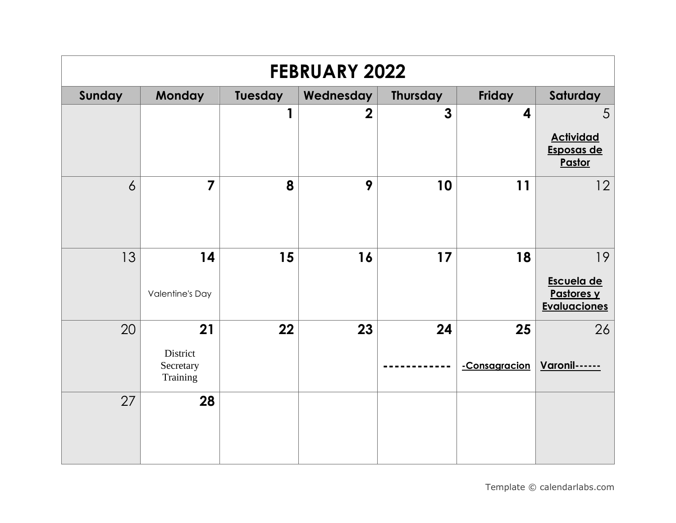| <b>FEBRUARY 2022</b> |                                         |         |                |                |                         |                                                       |  |  |
|----------------------|-----------------------------------------|---------|----------------|----------------|-------------------------|-------------------------------------------------------|--|--|
| Sunday               | <b>Monday</b>                           | Tuesday | Wednesday      | Thursday       | Friday                  | Saturday                                              |  |  |
|                      |                                         | 1       | $\overline{2}$ | $\overline{3}$ | $\overline{\mathbf{4}}$ | 5<br><b>Actividad</b><br>Esposas de<br>Pastor         |  |  |
| $\overline{6}$       | $\overline{7}$                          | 8       | 9              | 10             | 11                      | 12                                                    |  |  |
| 13                   | 14<br><b>Valentine's Day</b>            | 15      | 16             | 17             | 18                      | 19<br>Escuela de<br>Pastores y<br><b>Evaluaciones</b> |  |  |
| 20                   | 21<br>District<br>Secretary<br>Training | 22      | 23             | 24             | 25<br>-Consagracion     | 26<br><b>Varonil------</b>                            |  |  |
| 27                   | 28                                      |         |                |                |                         |                                                       |  |  |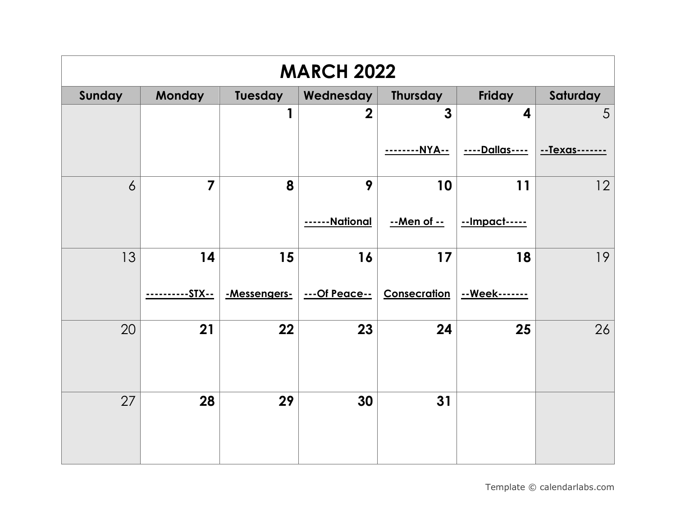| <b>MARCH 2022</b> |                |              |                   |              |                         |               |  |  |  |
|-------------------|----------------|--------------|-------------------|--------------|-------------------------|---------------|--|--|--|
| Sunday            | <b>Monday</b>  | Tuesday      | Wednesday         | Thursday     | Friday                  | Saturday      |  |  |  |
|                   |                | 1            | $\overline{2}$    | 3            | $\overline{\mathbf{4}}$ | 5             |  |  |  |
|                   |                |              |                   | --NYA--      | <u>----Dallas----</u>   | --Texas------ |  |  |  |
| $\overline{6}$    | $\overline{7}$ | 8            | 9                 | 10           | 11                      | 12            |  |  |  |
|                   |                |              | <u>--National</u> | --Men of --  | --Impact-----           |               |  |  |  |
| 13                | 14             | 15           | 16                | 17           | 18                      | 19            |  |  |  |
|                   | --------STX--  | -Messengers- | ---Of Peace--     | Consecration | --Week-------           |               |  |  |  |
| 20                | 21             | 22           | 23                | 24           | 25                      | 26            |  |  |  |
| 27                | 28             | 29           | 30                | 31           |                         |               |  |  |  |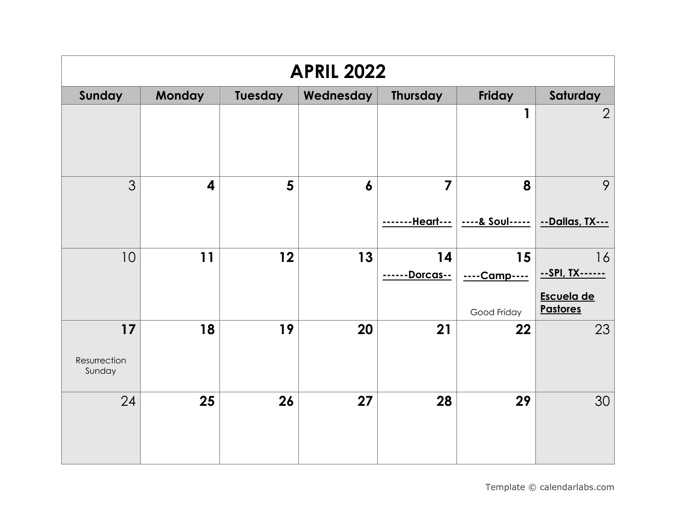| <b>APRIL 2022</b>            |                         |                 |                  |                                     |                                   |                                                        |  |  |
|------------------------------|-------------------------|-----------------|------------------|-------------------------------------|-----------------------------------|--------------------------------------------------------|--|--|
| Sunday                       | <b>Monday</b>           | <b>Tuesday</b>  | Wednesday        | Thursday                            | Friday                            | Saturday                                               |  |  |
|                              |                         |                 |                  |                                     | 1                                 | $\overline{2}$                                         |  |  |
| 3                            | $\overline{\mathbf{4}}$ | $5\overline{)}$ | $\boldsymbol{6}$ | $\overline{7}$<br><u>--Heart---</u> | 8<br>----& Soul-----              | 9<br>--Dallas, TX---                                   |  |  |
| 10                           | 11                      | 12              | 13               | 14<br><u>-Dorcas--</u>              | 15<br>----Camp----<br>Good Friday | 16<br>--SPI, TX------<br>Escuela de<br><b>Pastores</b> |  |  |
| 17<br>Resurrection<br>Sunday | 18                      | 19              | 20               | 21                                  | 22                                | 23                                                     |  |  |
| 24                           | 25                      | 26              | 27               | 28                                  | 29                                | 30                                                     |  |  |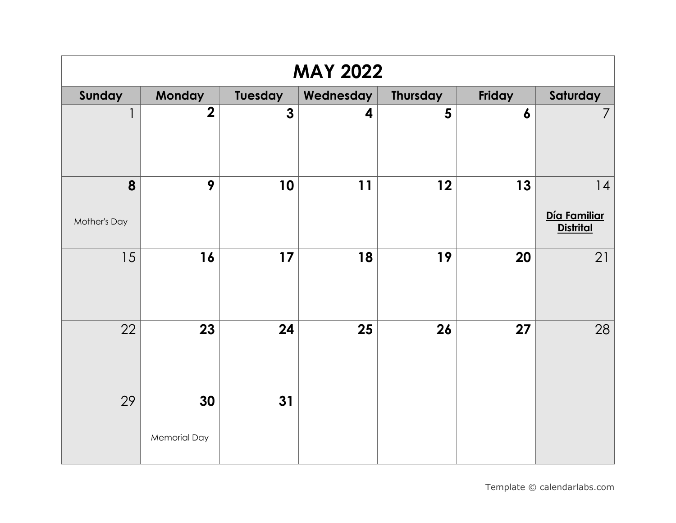| <b>MAY 2022</b>   |                           |              |           |                 |                  |                                       |  |  |
|-------------------|---------------------------|--------------|-----------|-----------------|------------------|---------------------------------------|--|--|
| Sunday            | Monday                    | Tuesday      | Wednesday | <b>Thursday</b> | Friday           | Saturday                              |  |  |
| $\mathbf{1}$      | $\overline{2}$            | $\mathbf{3}$ | 4         | 5               | $\boldsymbol{6}$ | $\overline{7}$                        |  |  |
| 8<br>Mother's Day | 9                         | 10           | 11        | 12              | 13               | 4<br>Día Familiar<br><b>Distrital</b> |  |  |
| 15                | 16                        | 17           | 18        | 19              | 20               | 21                                    |  |  |
| 22                | 23                        | 24           | 25        | 26              | 27               | 28                                    |  |  |
| 29                | 30<br><b>Memorial Day</b> | 31           |           |                 |                  |                                       |  |  |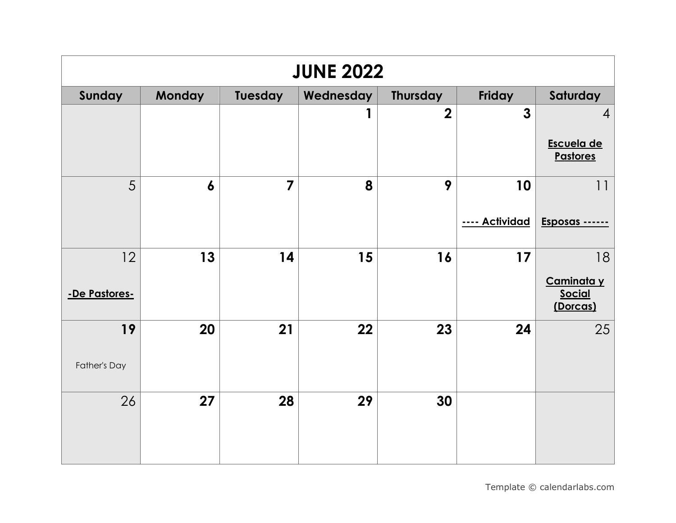| <b>JUNE 2022</b>    |                  |                |           |                         |                      |                                                 |  |  |  |
|---------------------|------------------|----------------|-----------|-------------------------|----------------------|-------------------------------------------------|--|--|--|
| Sunday              | <b>Monday</b>    | Tuesday        | Wednesday | <b>Thursday</b>         | <b>Friday</b>        | Saturday                                        |  |  |  |
|                     |                  |                |           | $\overline{\mathbf{2}}$ | $\mathbf{3}$         | $\overline{4}$<br>Escuela de<br><b>Pastores</b> |  |  |  |
| 5                   | $\boldsymbol{6}$ | $\overline{7}$ | 8         | 9                       | 10<br>---- Actividad | 11<br>Esposas -----                             |  |  |  |
| 12<br>-De Pastores- | 13               | 14             | 15        | 16                      | 17                   | 18<br>Caminata y<br><b>Social</b><br>(Dorcas)   |  |  |  |
| 19<br>Father's Day  | 20               | 21             | 22        | 23                      | 24                   | 25                                              |  |  |  |
| 26                  | 27               | 28             | 29        | 30                      |                      |                                                 |  |  |  |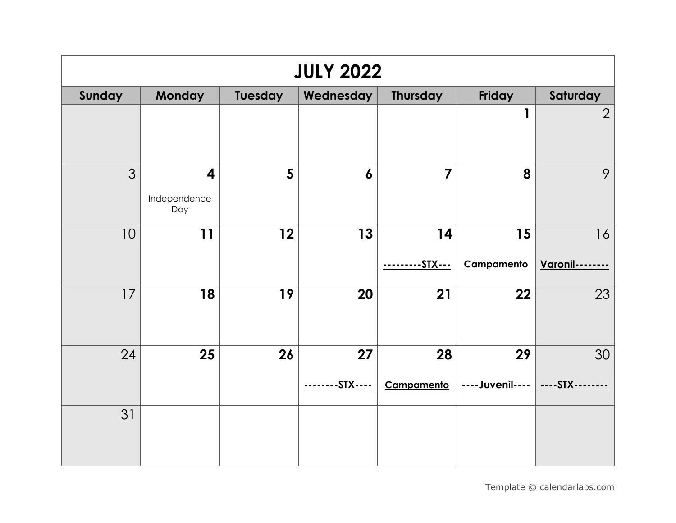| <b>JULY 2022</b> |                                                |                |                |                         |                       |                       |  |  |  |
|------------------|------------------------------------------------|----------------|----------------|-------------------------|-----------------------|-----------------------|--|--|--|
| Sunday           | <b>Monday</b>                                  | Tuesday        | Wednesday      | <b>Thursday</b>         | Friday                | Saturday              |  |  |  |
|                  |                                                |                |                |                         | 1                     | $\overline{2}$        |  |  |  |
| 3                | $\overline{\mathbf{4}}$<br>Independence<br>Day | $5\phantom{1}$ | 6              | $\overline{\mathbf{z}}$ | 8                     | 9                     |  |  |  |
| 10               | 11                                             | 12             | 13             | 14<br>--STX---          | 15<br>Campamento      | 16<br>Varonil-        |  |  |  |
| 17               | 18                                             | 19             | 20             | 21                      | 22                    | 23                    |  |  |  |
| 24               | 25                                             | 26             | 27<br>-STX---- | 28<br>Campamento        | 29<br>----Juvenil---- | 30<br>----STX-------- |  |  |  |
| 31               |                                                |                |                |                         |                       |                       |  |  |  |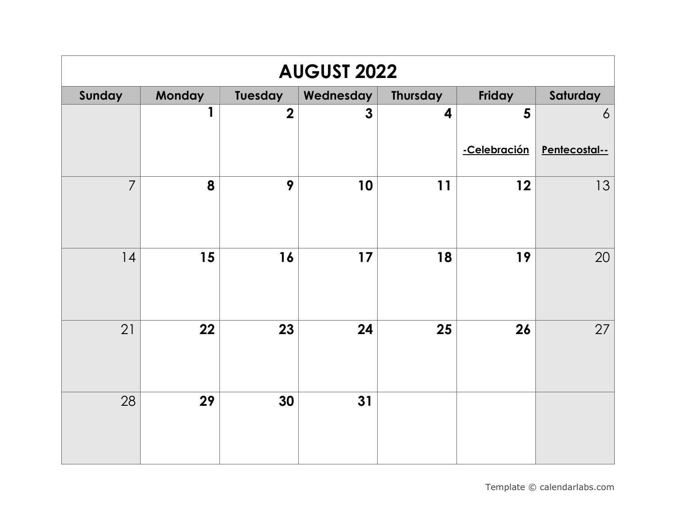| <b>AUGUST 2022</b> |        |                         |                |                         |              |                |  |  |  |
|--------------------|--------|-------------------------|----------------|-------------------------|--------------|----------------|--|--|--|
| Sunday             | Monday | Tuesday                 | Wednesday      | Thursday                | Friday       | Saturday       |  |  |  |
|                    | 1      | $\overline{\mathbf{2}}$ | $\overline{3}$ | $\overline{\mathbf{4}}$ | 5            | $\overline{6}$ |  |  |  |
|                    |        |                         |                |                         | -Celebración | Pentecostal--  |  |  |  |
| $\overline{7}$     | 8      | 9                       | 10             | 11                      | 12           | 13             |  |  |  |
| 14                 | 15     | 16                      | 17             | 18                      | 19           | 20             |  |  |  |
| 21                 | 22     | 23                      | 24             | 25                      | 26           | 27             |  |  |  |
| 28                 | 29     | 30                      | 31             |                         |              |                |  |  |  |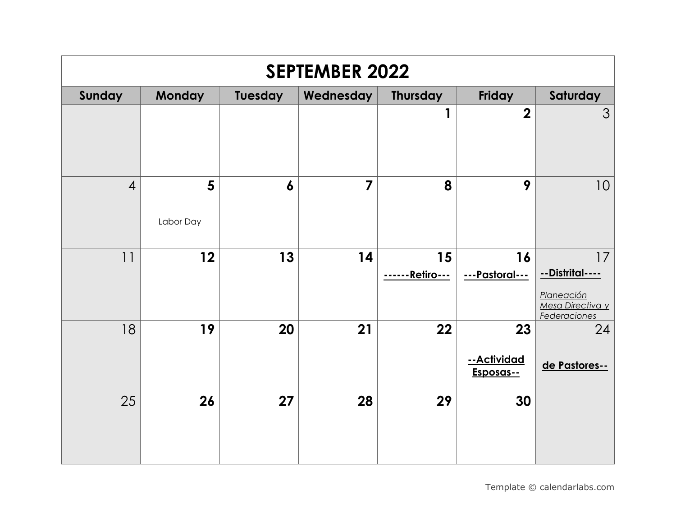| <b>SEPTEMBER 2022</b> |                |                  |                |                              |                                |                                                                                |  |  |
|-----------------------|----------------|------------------|----------------|------------------------------|--------------------------------|--------------------------------------------------------------------------------|--|--|
| Sunday                | Monday         | <b>Tuesday</b>   | Wednesday      | <b>Thursday</b>              | Friday                         | Saturday                                                                       |  |  |
|                       |                |                  |                | 1                            | $\overline{2}$                 | 3                                                                              |  |  |
| $\overline{4}$        | 5<br>Labor Day | $\boldsymbol{6}$ | $\overline{7}$ | 8                            | 9                              | 10                                                                             |  |  |
| 11                    | 12             | 13               | 14             | 15<br><u>------Retiro---</u> | 16<br>---Pastoral---           | 17<br><u>--Distrital----</u><br>Planeación<br>Mesa Directiva y<br>Federaciones |  |  |
| 18                    | 19             | 20               | 21             | 22                           | 23<br>--Actividad<br>Esposas-- | 24<br>de Pastores--                                                            |  |  |
| 25                    | 26             | 27               | 28             | 29                           | 30                             |                                                                                |  |  |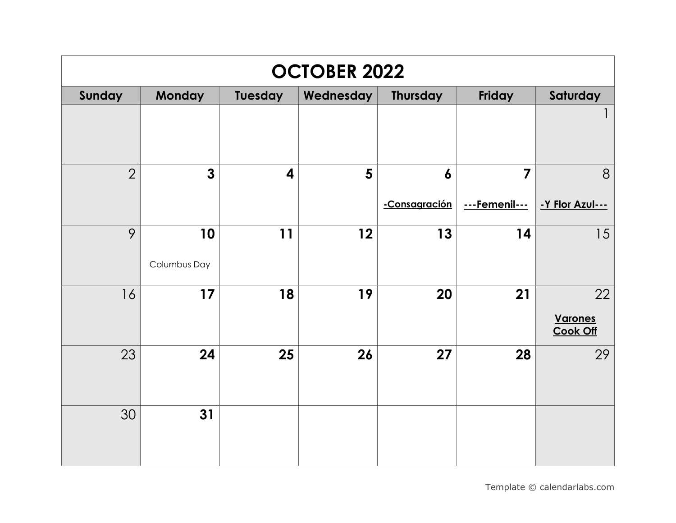| <b>OCTOBER 2022</b> |              |                  |                |                  |                         |                                   |  |  |
|---------------------|--------------|------------------|----------------|------------------|-------------------------|-----------------------------------|--|--|
| Sunday              | Monday       | Tuesday          | Wednesday      | <b>Thursday</b>  | Friday                  | Saturday                          |  |  |
|                     |              |                  |                |                  |                         |                                   |  |  |
| $\overline{2}$      | $\mathbf{3}$ | $\boldsymbol{4}$ | $5\phantom{1}$ | $\boldsymbol{6}$ | $\overline{\mathbf{z}}$ | 8                                 |  |  |
|                     |              |                  |                | -Consagración    | ---Femenil---           | -Y Flor Azul---                   |  |  |
| 9                   | 10           | 11               | 12             | 13               | 14                      | 15                                |  |  |
|                     | Columbus Day |                  |                |                  |                         |                                   |  |  |
| 16                  | 17           | 18               | 19             | 20               | 21                      | 22                                |  |  |
|                     |              |                  |                |                  |                         | <b>Varones</b><br><b>Cook Off</b> |  |  |
| 23                  | 24           | 25               | 26             | 27               | 28                      | 29                                |  |  |
|                     |              |                  |                |                  |                         |                                   |  |  |
| 30                  | 31           |                  |                |                  |                         |                                   |  |  |
|                     |              |                  |                |                  |                         |                                   |  |  |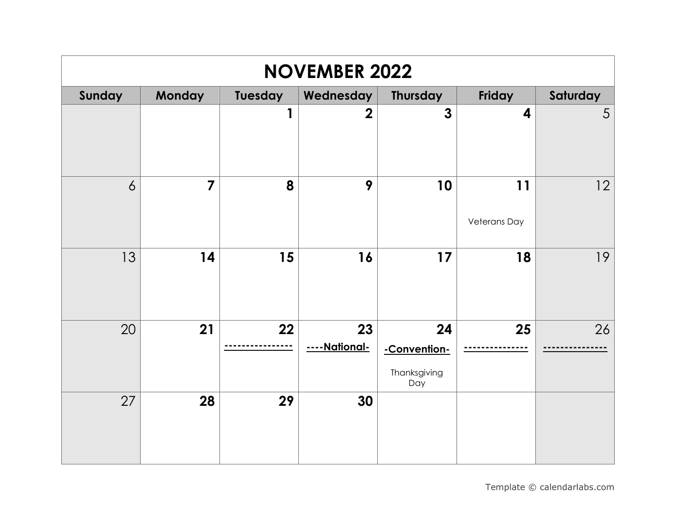| <b>NOVEMBER 2022</b> |                         |         |                           |                                           |                           |          |  |  |  |
|----------------------|-------------------------|---------|---------------------------|-------------------------------------------|---------------------------|----------|--|--|--|
| Sunday               | Monday                  | Tuesday | Wednesday                 | <b>Thursday</b>                           | Friday                    | Saturday |  |  |  |
|                      |                         | 1       | $\overline{2}$            | $\overline{\mathbf{3}}$                   | $\overline{\mathbf{4}}$   | 5        |  |  |  |
| $\overline{6}$       | $\overline{\mathbf{z}}$ | 8       | 9                         | 10                                        | 11<br><b>Veterans Day</b> | 12       |  |  |  |
| 13                   | 14                      | 15      | 16                        | 17                                        | 18                        | 19       |  |  |  |
| 20                   | 21                      | 22      | 23<br>--National-<br>$ -$ | 24<br>-Convention-<br>Thanksgiving<br>Day | 25                        | 26       |  |  |  |
| 27                   | 28                      | 29      | 30                        |                                           |                           |          |  |  |  |